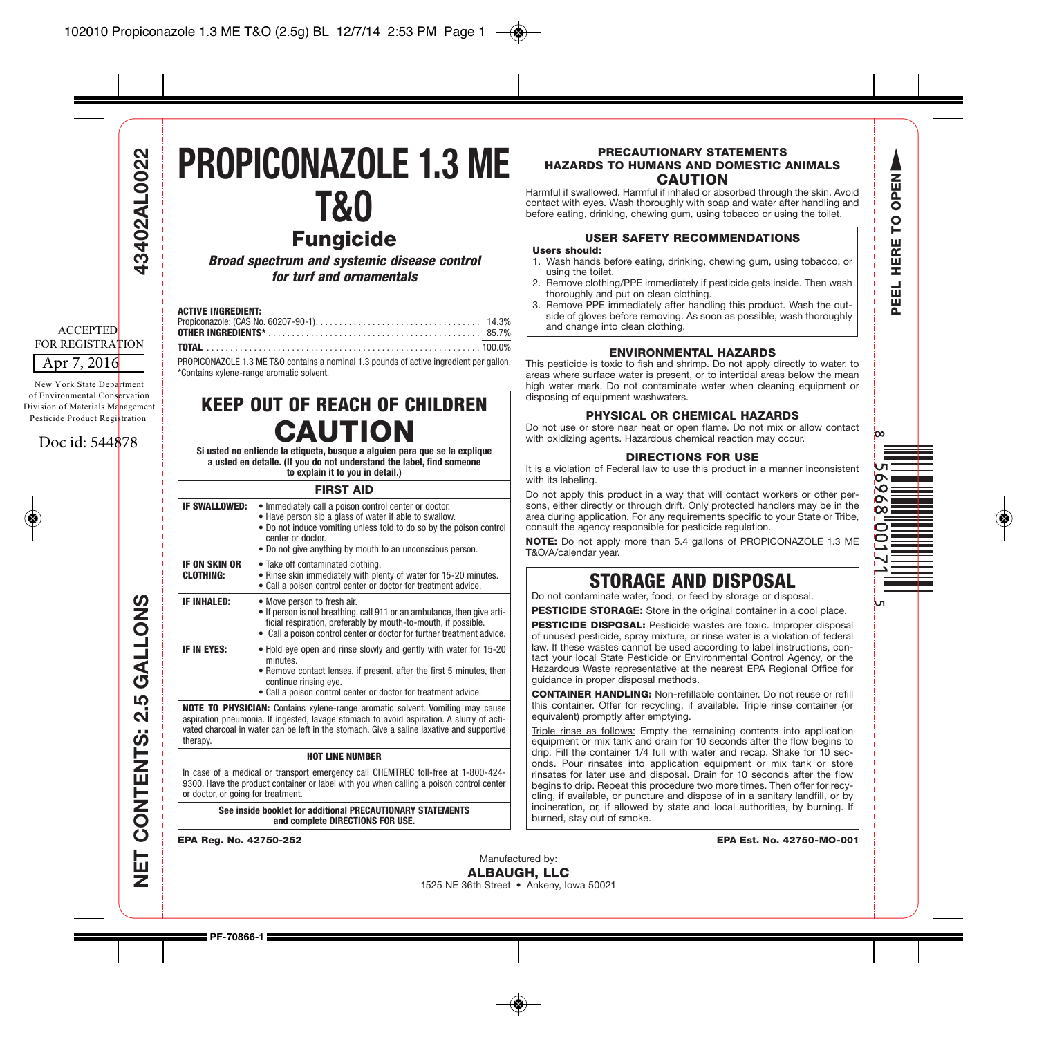# 13402AL0022

#### Apr 7, 2016 ACCEPTED FOR REGISTRATION

New York State Department of Environmental Conservation Division of Materials Management Pesticide Product Registration

#### Doc id: 544878

**NET CONTENTS: 2.5 GALLONS 43402AL0022** GALLONS <u> ဟ</u>  $\ddot{\mathbf{v}}$ CONTENTS: 岀 ₹

### **PROPICONAZOLE 1.3 ME T&O**

**Fungicide Broad spectrum and systemic disease control for turf and ornamentals**

#### **ACTIVE INGREDIENT:**

PROPICONAZOLE 1.3 ME T&O contains a nominal 1.3 pounds of active ingredient per gallon. \*Contains xylene-range aromatic solvent.

#### **KEEP OUT OF REACH OF CHILDREN CAUTION**

**Si usted no entiende la etiqueta, busque a alguien para que se la explique a usted en detalle. (If you do not understand the label, find someone to explain it to you in detail.)**

| <b>FIRST AID</b>                                                                                                                                                                                                                                                                          |                                                                                                                                                                                                                                                                          |  |  |  |
|-------------------------------------------------------------------------------------------------------------------------------------------------------------------------------------------------------------------------------------------------------------------------------------------|--------------------------------------------------------------------------------------------------------------------------------------------------------------------------------------------------------------------------------------------------------------------------|--|--|--|
| <b>IF SWALLOWED:</b>                                                                                                                                                                                                                                                                      | . Immediately call a poison control center or doctor.<br>. Have person sip a glass of water if able to swallow.<br>. Do not induce vomiting unless told to do so by the poison control<br>center or doctor.<br>• Do not give anything by mouth to an unconscious person. |  |  |  |
| <b>IF ON SKIN OR</b><br><b>CLOTHING:</b>                                                                                                                                                                                                                                                  | • Take off contaminated clothing.<br>. Rinse skin immediately with plenty of water for 15-20 minutes.<br>. Call a poison control center or doctor for treatment advice.                                                                                                  |  |  |  |
| <b>IF INHALED:</b>                                                                                                                                                                                                                                                                        | • Move person to fresh air.<br>• If person is not breathing, call 911 or an ambulance, then give arti-<br>ficial respiration, preferably by mouth-to-mouth, if possible.<br>Call a poison control center or doctor for further treatment advice.                         |  |  |  |
| IF IN EYES:                                                                                                                                                                                                                                                                               | . Hold eye open and rinse slowly and gently with water for 15-20<br>minutes.<br>• Remove contact lenses, if present, after the first 5 minutes, then<br>continue rinsing eye.<br>. Call a poison control center or doctor for treatment advice.                          |  |  |  |
| <b>NOTE TO PHYSICIAN:</b> Contains xylene-range aromatic solvent. Vomiting may cause<br>aspiration pneumonia. If ingested, lavage stomach to avoid aspiration. A slurry of acti-<br>vated charcoal in water can be left in the stomach. Give a saline laxative and supportive<br>therapy. |                                                                                                                                                                                                                                                                          |  |  |  |
| <b>HOT LINE NUMBER</b>                                                                                                                                                                                                                                                                    |                                                                                                                                                                                                                                                                          |  |  |  |
| or doctor, or going for treatment.                                                                                                                                                                                                                                                        | In case of a medical or transport emergency call CHEMTREC toll-free at 1-800-424-<br>9300. Have the product container or label with you when calling a poison control center                                                                                             |  |  |  |

**See inside booklet for additional PRECAUTIONARY STATEMENTS**

**and complete DIRECTIONS FOR USE.**

#### **PRECAUTIONARY STATEMENTS HAZARDS TO HUMANS AND DOMESTIC ANIMALS CAUTION**

Harmful if swallowed. Harmful if inhaled or absorbed through the skin. Avoid contact with eyes. Wash thoroughly with soap and water after handling and before eating, drinking, chewing gum, using tobacco or using the toilet.

#### **USER SAFETY RECOMMENDATIONS**

- **Users should:**
- 1. Wash hands before eating, drinking, chewing gum, using tobacco, or using the toilet.
- 2. Remove clothing/PPE immediately if pesticide gets inside. Then wash thoroughly and put on clean clothing.
- 3. Remove PPE immediately after handling this product. Wash the outside of gloves before removing. As soon as possible, wash thoroughly and change into clean clothing.

#### **ENVIRONMENTAL HAZARDS**

This pesticide is toxic to fish and shrimp. Do not apply directly to water, to areas where surface water is present, or to intertidal areas below the mean high water mark. Do not contaminate water when cleaning equipment or disposing of equipment washwaters.

#### **PHYSICAL OR CHEMICAL HAZARDS**

Do not use or store near heat or open flame. Do not mix or allow contact with oxidizing agents. Hazardous chemical reaction may occur.

#### **DIRECTIONS FOR USE**

It is a violation of Federal law to use this product in a manner inconsistent with its labeling.

Do not apply this product in a way that will contact workers or other persons, either directly or through drift. Only protected handlers may be in the area during application. For any requirements specific to your State or Tribe, consult the agency responsible for pesticide regulation.

**NOTE:** Do not apply more than 5.4 gallons of PROPICONAZOLE 1.3 ME T&O/A/calendar year.

#### **STORAGE AND DISPOSAL**

Do not contaminate water, food, or feed by storage or disposal.

**PESTICIDE STORAGE:** Store in the original container in a cool place.

**PESTICIDE DISPOSAL:** Pesticide wastes are toxic. Improper disposal of unused pesticide, spray mixture, or rinse water is a violation of federal law. If these wastes cannot be used according to label instructions, contact your local State Pesticide or Environmental Control Agency, or the Hazardous Waste representative at the nearest EPA Regional Office for guidance in proper disposal methods.

**CONTAINER HANDLING:** Non-refillable container. Do not reuse or refill this container. Offer for recycling, if available. Triple rinse container (or equivalent) promptly after emptying.

Triple rinse as follows: Empty the remaining contents into application equipment or mix tank and drain for 10 seconds after the flow begins to drip. Fill the container 1/4 full with water and recap. Shake for 10 seconds. Pour rinsates into application equipment or mix tank or store rinsates for later use and disposal. Drain for 10 seconds after the flow begins to drip. Repeat this procedure two more times. Then offer for recycling, if available, or puncture and dispose of in a sanitary landfill, or by incineration, or, if allowed by state and local authorities, by burning. If burned, stay out of smoke.

**EPA Reg. No. 42750-252 EPA Est. No. 42750-MO-001**



**PF-70866-1**



kл

**PEEL HERE TO OPEN**

Δ OPEN p HERE 긊 핉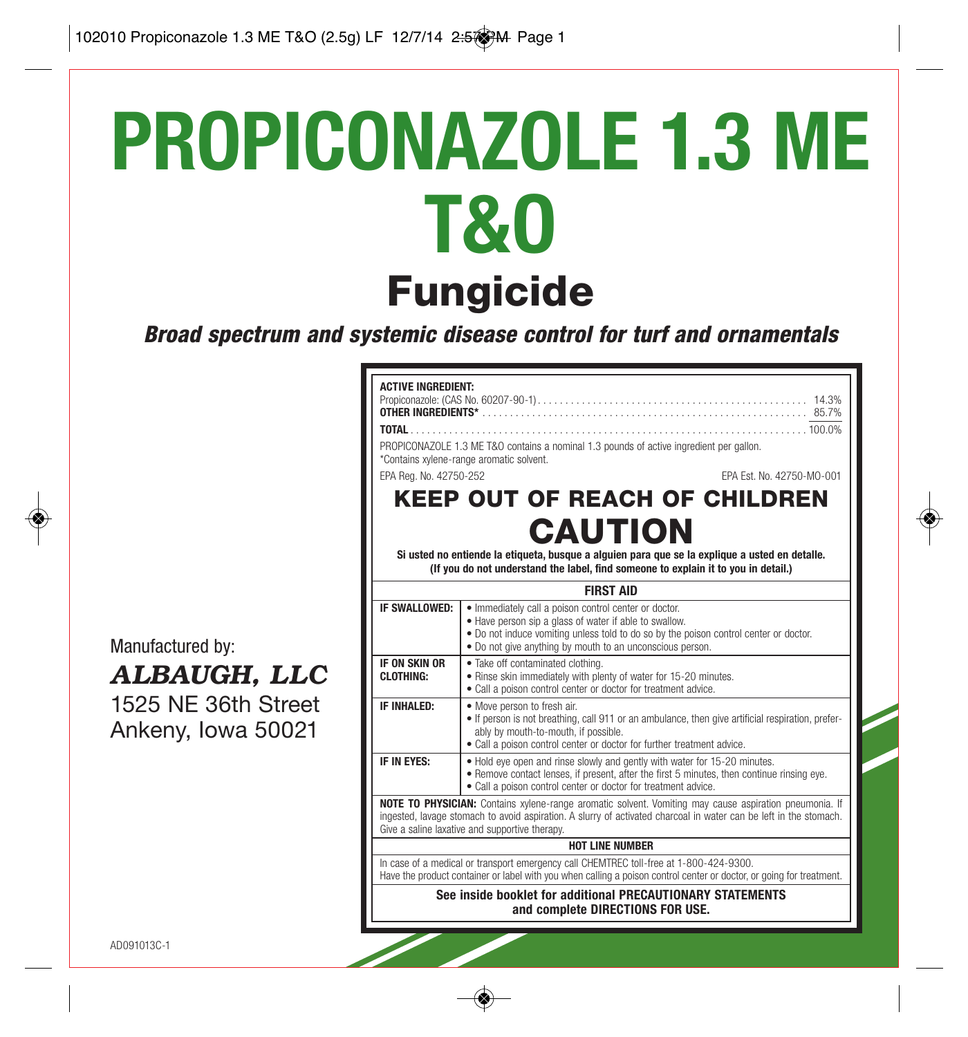# **PROPICONAZOLE 1.3 ME T&O Fungicide**

**Broad spectrum and systemic disease control for turf and ornamentals**

|                                                                               | <b>ACTIVE INGREDIENT:</b><br>TOTAL TOTAL<br>EPA Reg. No. 42750-252                                                                                                                                                                                                            | $\ldots \ldots \ldots 100.0\%$<br>PROPICONAZOLE 1.3 ME T&O contains a nominal 1.3 pounds of active ingredient per gallon.<br>*Contains xylene-range aromatic solvent.<br>EPA Est. No. 42750-MO-001<br><b>KEEP OUT OF REACH OF CHILDREN</b><br><b>CAUTION</b><br>Si usted no entiende la etiqueta, busque a alguien para que se la explique a usted en detalle.<br>(If you do not understand the label, find someone to explain it to you in detail.) |  |  |
|-------------------------------------------------------------------------------|-------------------------------------------------------------------------------------------------------------------------------------------------------------------------------------------------------------------------------------------------------------------------------|------------------------------------------------------------------------------------------------------------------------------------------------------------------------------------------------------------------------------------------------------------------------------------------------------------------------------------------------------------------------------------------------------------------------------------------------------|--|--|
|                                                                               |                                                                                                                                                                                                                                                                               | <b>FIRST AID</b>                                                                                                                                                                                                                                                                                                                                                                                                                                     |  |  |
| Manufactured by:<br>ALBAUGH, LLC<br>1525 NE 36th Street<br>Ankeny, Iowa 50021 | IF SWALLOWED:                                                                                                                                                                                                                                                                 | · Immediately call a poison control center or doctor.<br>• Have person sip a glass of water if able to swallow.<br>. Do not induce vomiting unless told to do so by the poison control center or doctor.<br>• Do not give anything by mouth to an unconscious person.                                                                                                                                                                                |  |  |
|                                                                               | IF ON SKIN OR<br>CI OTHING:                                                                                                                                                                                                                                                   | · Take off contaminated clothing.<br>. Rinse skin immediately with plenty of water for 15-20 minutes.<br>• Call a poison control center or doctor for treatment advice.                                                                                                                                                                                                                                                                              |  |  |
|                                                                               | IF INHALED:                                                                                                                                                                                                                                                                   | • Move person to fresh air.<br>• If person is not breathing, call 911 or an ambulance, then give artificial respiration, prefer-<br>ably by mouth-to-mouth, if possible.<br>• Call a poison control center or doctor for further treatment advice.                                                                                                                                                                                                   |  |  |
|                                                                               | IF IN EYES:                                                                                                                                                                                                                                                                   | . Hold eye open and rinse slowly and gently with water for 15-20 minutes.<br>. Remove contact lenses, if present, after the first 5 minutes, then continue rinsing eye.<br>• Call a poison control center or doctor for treatment advice.                                                                                                                                                                                                            |  |  |
|                                                                               | NOTE TO PHYSICIAN: Contains xylene-range aromatic solvent. Vomiting may cause aspiration pneumonia. If<br>ingested, lavage stomach to avoid aspiration. A slurry of activated charcoal in water can be left in the stomach.<br>Give a saline laxative and supportive therapy. |                                                                                                                                                                                                                                                                                                                                                                                                                                                      |  |  |
|                                                                               | <b>HOT LINE NUMBER</b>                                                                                                                                                                                                                                                        |                                                                                                                                                                                                                                                                                                                                                                                                                                                      |  |  |
|                                                                               | In case of a medical or transport emergency call CHEMTREC toll-free at 1-800-424-9300.<br>Have the product container or label with you when calling a poison control center or doctor, or going for treatment.                                                                |                                                                                                                                                                                                                                                                                                                                                                                                                                                      |  |  |
|                                                                               | See inside booklet for additional PRECAUTIONARY STATEMENTS<br>and complete DIRECTIONS FOR USE.                                                                                                                                                                                |                                                                                                                                                                                                                                                                                                                                                                                                                                                      |  |  |
| AD091013C-1                                                                   |                                                                                                                                                                                                                                                                               |                                                                                                                                                                                                                                                                                                                                                                                                                                                      |  |  |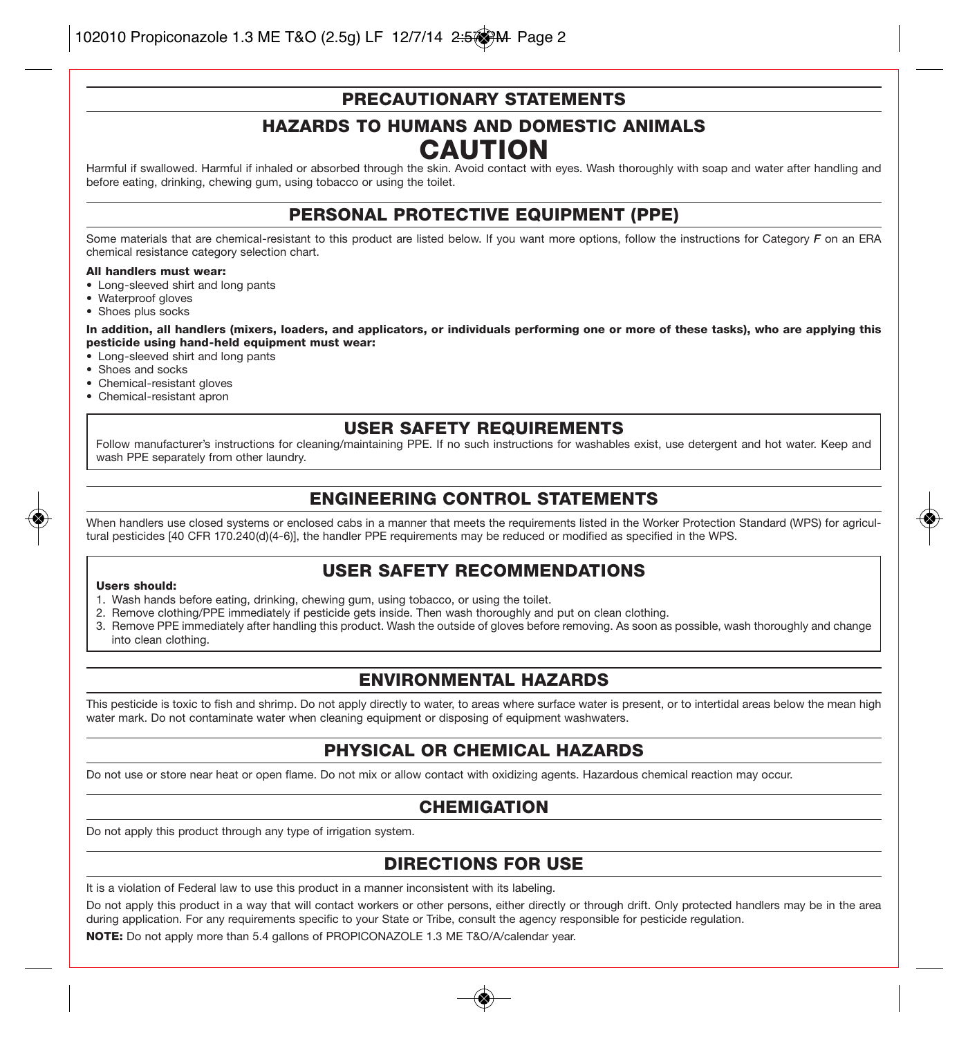#### **PRECAUTIONARY STATEMENTS**

#### **HAZARDS TO HUMANS AND DOMESTIC ANIMALS CAUTION**

Harmful if swallowed. Harmful if inhaled or absorbed through the skin. Avoid contact with eyes. Wash thoroughly with soap and water after handling and before eating, drinking, chewing gum, using tobacco or using the toilet.

#### **PERSONAL PROTECTIVE EQUIPMENT (PPE)**

Some materials that are chemical-resistant to this product are listed below. If you want more options, follow the instructions for Category *F* on an ERA chemical resistance category selection chart.

#### **All handlers must wear:**

- Long-sleeved shirt and long pants
- Waterproof gloves
- Shoes plus socks

**In addition, all handlers (mixers, loaders, and applicators, or individuals performing one or more of these tasks), who are applying this pesticide using hand-held equipment must wear:**

• Long-sleeved shirt and long pants

- Shoes and socks
- Chemical-resistant gloves
- Chemical-resistant apron

#### **USER SAFETY REQUIREMENTS**

Follow manufacturer's instructions for cleaning/maintaining PPE. If no such instructions for washables exist, use detergent and hot water. Keep and wash PPE separately from other laundry.

#### **ENGINEERING CONTROL STATEMENTS**

When handlers use closed systems or enclosed cabs in a manner that meets the requirements listed in the Worker Protection Standard (WPS) for agricultural pesticides [40 CFR 170.240(d)(4-6)], the handler PPE requirements may be reduced or modified as specified in the WPS.

#### **USER SAFETY RECOMMENDATIONS**

#### **Users should:**

- 1. Wash hands before eating, drinking, chewing gum, using tobacco, or using the toilet.
- 2. Remove clothing/PPE immediately if pesticide gets inside. Then wash thoroughly and put on clean clothing.
- 3. Remove PPE immediately after handling this product. Wash the outside of gloves before removing. As soon as possible, wash thoroughly and change into clean clothing.

#### **ENVIRONMENTAL HAZARDS**

This pesticide is toxic to fish and shrimp. Do not apply directly to water, to areas where surface water is present, or to intertidal areas below the mean high water mark. Do not contaminate water when cleaning equipment or disposing of equipment washwaters.

#### **PHYSICAL OR CHEMICAL HAZARDS**

Do not use or store near heat or open flame. Do not mix or allow contact with oxidizing agents. Hazardous chemical reaction may occur.

#### **CHEMIGATION**

Do not apply this product through any type of irrigation system.

#### **DIRECTIONS FOR USE**

It is a violation of Federal law to use this product in a manner inconsistent with its labeling.

Do not apply this product in a way that will contact workers or other persons, either directly or through drift. Only protected handlers may be in the area during application. For any requirements specific to your State or Tribe, consult the agency responsible for pesticide regulation.

**NOTE:** Do not apply more than 5.4 gallons of PROPICONAZOLE 1.3 ME T&O/A/calendar year.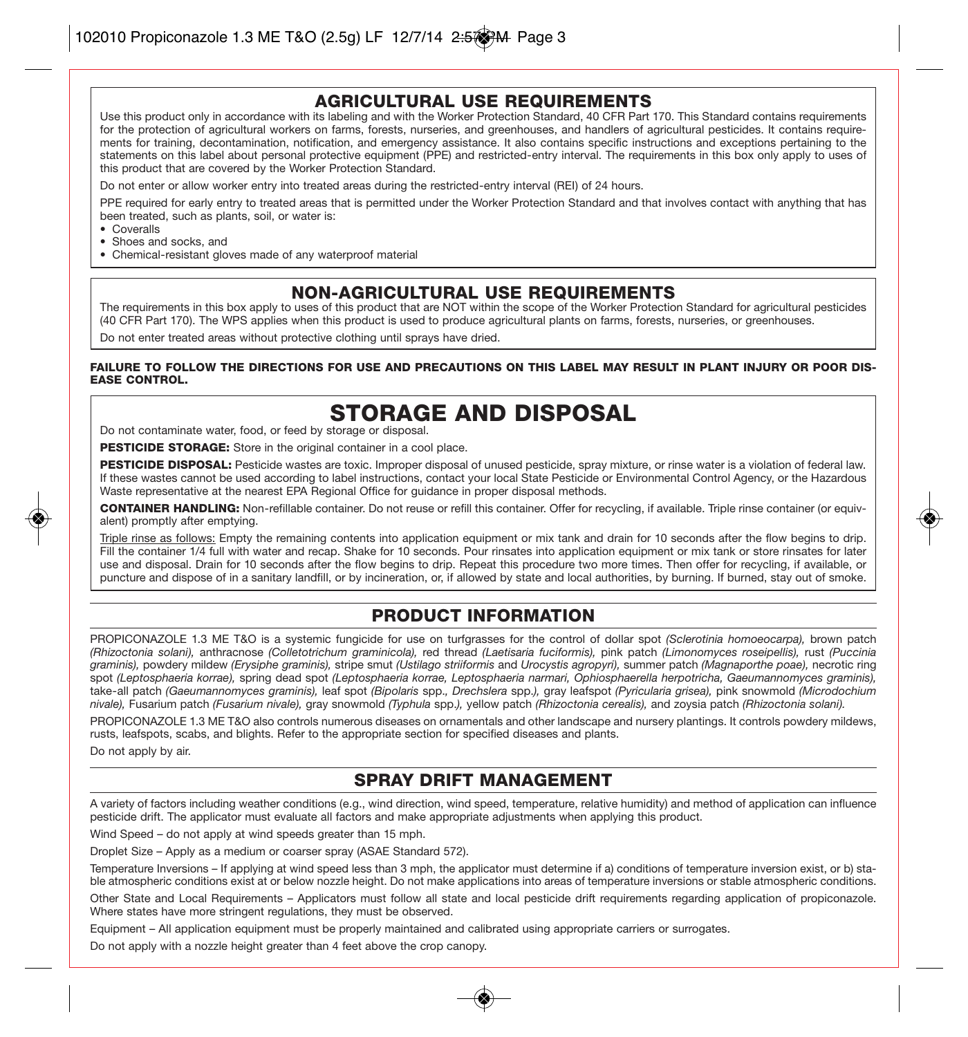#### **AGRICULTURAL USE REQUIREMENTS**

Use this product only in accordance with its labeling and with the Worker Protection Standard, 40 CFR Part 170. This Standard contains requirements for the protection of agricultural workers on farms, forests, nurseries, and greenhouses, and handlers of agricultural pesticides. It contains requirements for training, decontamination, notification, and emergency assistance. It also contains specific instructions and exceptions pertaining to the statements on this label about personal protective equipment (PPE) and restricted-entry interval. The requirements in this box only apply to uses of this product that are covered by the Worker Protection Standard.

Do not enter or allow worker entry into treated areas during the restricted-entry interval (REI) of 24 hours.

PPE required for early entry to treated areas that is permitted under the Worker Protection Standard and that involves contact with anything that has been treated, such as plants, soil, or water is:

• Coveralls

- Shoes and socks, and
- Chemical-resistant gloves made of any waterproof material

#### **NON-AGRICULTURAL USE REQUIREMENTS**

The requirements in this box apply to uses of this product that are NOT within the scope of the Worker Protection Standard for agricultural pesticides (40 CFR Part 170). The WPS applies when this product is used to produce agricultural plants on farms, forests, nurseries, or greenhouses.

Do not enter treated areas without protective clothing until sprays have dried.

#### **FAILURE TO FOLLOW THE DIRECTIONS FOR USE AND PRECAUTIONS ON THIS LABEL MAY RESULT IN PLANT INJURY OR POOR DIS-EASE CONTROL.**

#### **STORAGE AND DISPOSAL**

Do not contaminate water, food, or feed by storage or disposal.

**PESTICIDE STORAGE:** Store in the original container in a cool place.

PESTICIDE DISPOSAL: Pesticide wastes are toxic. Improper disposal of unused pesticide, spray mixture, or rinse water is a violation of federal law. If these wastes cannot be used according to label instructions, contact your local State Pesticide or Environmental Control Agency, or the Hazardous Waste representative at the nearest EPA Regional Office for guidance in proper disposal methods.

**CONTAINER HANDLING:** Non-refillable container. Do not reuse or refill this container. Offer for recycling, if available. Triple rinse container (or equivalent) promptly after emptying.

Triple rinse as follows: Empty the remaining contents into application equipment or mix tank and drain for 10 seconds after the flow begins to drip. Fill the container 1/4 full with water and recap. Shake for 10 seconds. Pour rinsates into application equipment or mix tank or store rinsates for later use and disposal. Drain for 10 seconds after the flow begins to drip. Repeat this procedure two more times. Then offer for recycling, if available, or puncture and dispose of in a sanitary landfill, or by incineration, or, if allowed by state and local authorities, by burning. If burned, stay out of smoke.

#### **PRODUCT INFORMATION**

PROPICONAZOLE 1.3 ME T&O is a systemic fungicide for use on turfgrasses for the control of dollar spot *(Sclerotinia homoeocarpa),* brown patch *(Rhizoctonia solani),* anthracnose *(Colletotrichum graminicola),* red thread *(Laetisaria fuciformis),* pink patch *(Limonomyces roseipellis),* rust *(Puccinia graminis),* powdery mildew *(Erysiphe graminis),* stripe smut *(Ustilago striiformis* and *Urocystis agropyri),* summer patch *(Magnaporthe poae),* necrotic ring spot *(Leptosphaeria korrae),* spring dead spot *(Leptosphaeria korrae, Leptosphaeria narmari, Ophiosphaerella herpotricha, Gaeumannomyces graminis),* take-all patch *(Gaeumannomyces graminis),* leaf spot *(Bipolaris* spp.*, Drechslera* spp.*),* gray leafspot *(Pyricularia grisea),* pink snowmold *(Microdochium nivale),* Fusarium patch *(Fusarium nivale),* gray snowmold *(Typhula* spp.*),* yellow patch *(Rhizoctonia cerealis),* and zoysia patch *(Rhizoctonia solani).*

PROPICONAZOLE 1.3 ME T&O also controls numerous diseases on ornamentals and other landscape and nursery plantings. It controls powdery mildews, rusts, leafspots, scabs, and blights. Refer to the appropriate section for specified diseases and plants.

Do not apply by air.

#### **SPRAY DRIFT MANAGEMENT**

A variety of factors including weather conditions (e.g., wind direction, wind speed, temperature, relative humidity) and method of application can influence pesticide drift. The applicator must evaluate all factors and make appropriate adjustments when applying this product.

Wind Speed – do not apply at wind speeds greater than 15 mph.

Droplet Size – Apply as a medium or coarser spray (ASAE Standard 572).

Temperature Inversions – If applying at wind speed less than 3 mph, the applicator must determine if a) conditions of temperature inversion exist, or b) stable atmospheric conditions exist at or below nozzle height. Do not make applications into areas of temperature inversions or stable atmospheric conditions.

Other State and Local Requirements – Applicators must follow all state and local pesticide drift requirements regarding application of propiconazole. Where states have more stringent regulations, they must be observed.

Equipment – All application equipment must be properly maintained and calibrated using appropriate carriers or surrogates.

Do not apply with a nozzle height greater than 4 feet above the crop canopy.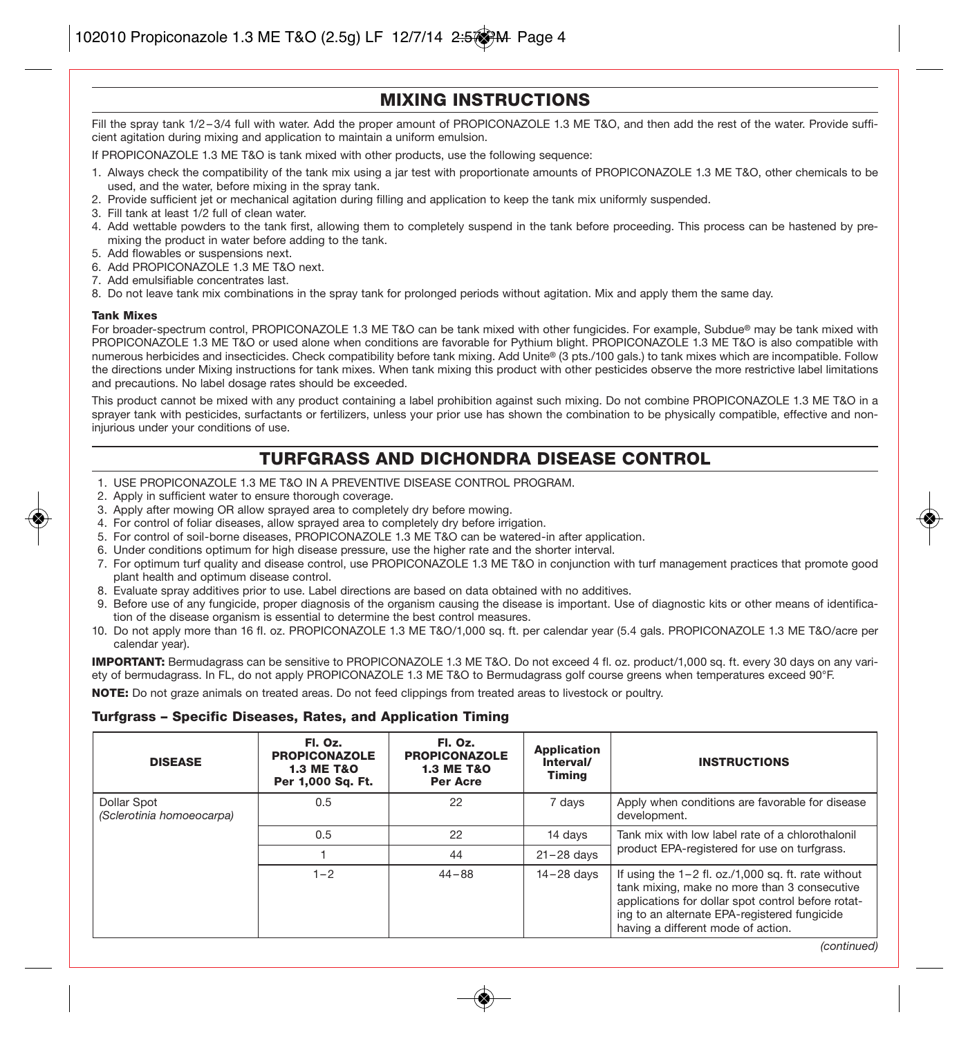#### **MIXING INSTRUCTIONS**

Fill the spray tank 1/2-3/4 full with water. Add the proper amount of PROPICONAZOLE 1.3 ME T&O, and then add the rest of the water. Provide sufficient agitation during mixing and application to maintain a uniform emulsion.

If PROPICONAZOLE 1.3 ME T&O is tank mixed with other products, use the following sequence:

- 1. Always check the compatibility of the tank mix using a jar test with proportionate amounts of PROPICONAZOLE 1.3 ME T&O, other chemicals to be used, and the water, before mixing in the spray tank.
- 2. Provide sufficient jet or mechanical agitation during filling and application to keep the tank mix uniformly suspended.
- 3. Fill tank at least 1/2 full of clean water.
- 4. Add wettable powders to the tank first, allowing them to completely suspend in the tank before proceeding. This process can be hastened by premixing the product in water before adding to the tank.
- 5. Add flowables or suspensions next.
- 6. Add PROPICONAZOLE 1.3 ME T&O next.
- 7. Add emulsifiable concentrates last.
- 8. Do not leave tank mix combinations in the spray tank for prolonged periods without agitation. Mix and apply them the same day.

#### **Tank Mixes**

For broader-spectrum control, PROPICONAZOLE 1.3 ME T&O can be tank mixed with other fungicides. For example, Subdue**®** may be tank mixed with PROPICONAZOLE 1.3 ME T&O or used alone when conditions are favorable for Pythium blight. PROPICONAZOLE 1.3 ME T&O is also compatible with numerous herbicides and insecticides. Check compatibility before tank mixing. Add Unite**®** (3 pts./100 gals.) to tank mixes which are incompatible. Follow the directions under Mixing instructions for tank mixes. When tank mixing this product with other pesticides observe the more restrictive label limitations and precautions. No label dosage rates should be exceeded.

This product cannot be mixed with any product containing a label prohibition against such mixing. Do not combine PROPICONAZOLE 1.3 ME T&O in a sprayer tank with pesticides, surfactants or fertilizers, unless your prior use has shown the combination to be physically compatible, effective and noninjurious under your conditions of use.

#### **TURFGRASS AND DICHONDRA DISEASE CONTROL**

- 1. USE PROPICONAZOLE 1.3 ME T&O IN A PREVENTIVE DISEASE CONTROL PROGRAM.
- 2. Apply in sufficient water to ensure thorough coverage.
- 3. Apply after mowing OR allow sprayed area to completely dry before mowing.
- 4. For control of foliar diseases, allow sprayed area to completely dry before irrigation.
- 5. For control of soil-borne diseases, PROPICONAZOLE 1.3 ME T&O can be watered-in after application.
- 6. Under conditions optimum for high disease pressure, use the higher rate and the shorter interval.
- 7. For optimum turf quality and disease control, use PROPICONAZOLE 1.3 ME T&O in conjunction with turf management practices that promote good plant health and optimum disease control.
- 8. Evaluate spray additives prior to use. Label directions are based on data obtained with no additives.
- 9. Before use of any fungicide, proper diagnosis of the organism causing the disease is important. Use of diagnostic kits or other means of identification of the disease organism is essential to determine the best control measures.
- 10. Do not apply more than 16 fI. oz. PROPICONAZOLE 1.3 ME T&O/1,000 sq. ft. per calendar year (5.4 gals. PROPICONAZOLE 1.3 ME T&O/acre per calendar year).

**IMPORTANT:** Bermudagrass can be sensitive to PROPICONAZOLE 1.3 ME T&O. Do not exceed 4 fl. oz. product/1,000 sq. ft. every 30 days on any variety of bermudagrass. In FL, do not apply PROPICONAZOLE 1.3 ME T&O to Bermudagrass golf course greens when temperatures exceed 90°F.

**NOTE:** Do not graze animals on treated areas. Do not feed clippings from treated areas to livestock or poultry.

#### **Turfgrass – Specific Diseases, Rates, and Application Timing**

| <b>DISEASE</b>                           | Fl. Oz.<br><b>PROPICONAZOLE</b><br><b>1.3 ME T&amp;O</b><br>Per 1,000 Sq. Ft. | Fl. Oz.<br><b>PROPICONAZOLE</b><br><b>1.3 ME T&amp;O</b><br>Per Acre | <b>Application</b><br>Interval/<br>Timina | <b>INSTRUCTIONS</b>                                                                                                                                                                                                                               |
|------------------------------------------|-------------------------------------------------------------------------------|----------------------------------------------------------------------|-------------------------------------------|---------------------------------------------------------------------------------------------------------------------------------------------------------------------------------------------------------------------------------------------------|
| Dollar Spot<br>(Sclerotinia homoeocarpa) | 0.5                                                                           | 22                                                                   | 7 days                                    | Apply when conditions are favorable for disease<br>development.                                                                                                                                                                                   |
|                                          | 0.5                                                                           | 22                                                                   | 14 days                                   | Tank mix with low label rate of a chlorothalonil                                                                                                                                                                                                  |
|                                          |                                                                               | 44                                                                   | $21 - 28$ davs                            | product EPA-registered for use on turfgrass.                                                                                                                                                                                                      |
|                                          | $1 - 2$                                                                       | $44 - 88$                                                            | $14 - 28$ davs                            | If using the $1-2$ fl. oz./1,000 sq. ft. rate without<br>tank mixing, make no more than 3 consecutive<br>applications for dollar spot control before rotat-<br>ing to an alternate EPA-registered fungicide<br>having a different mode of action. |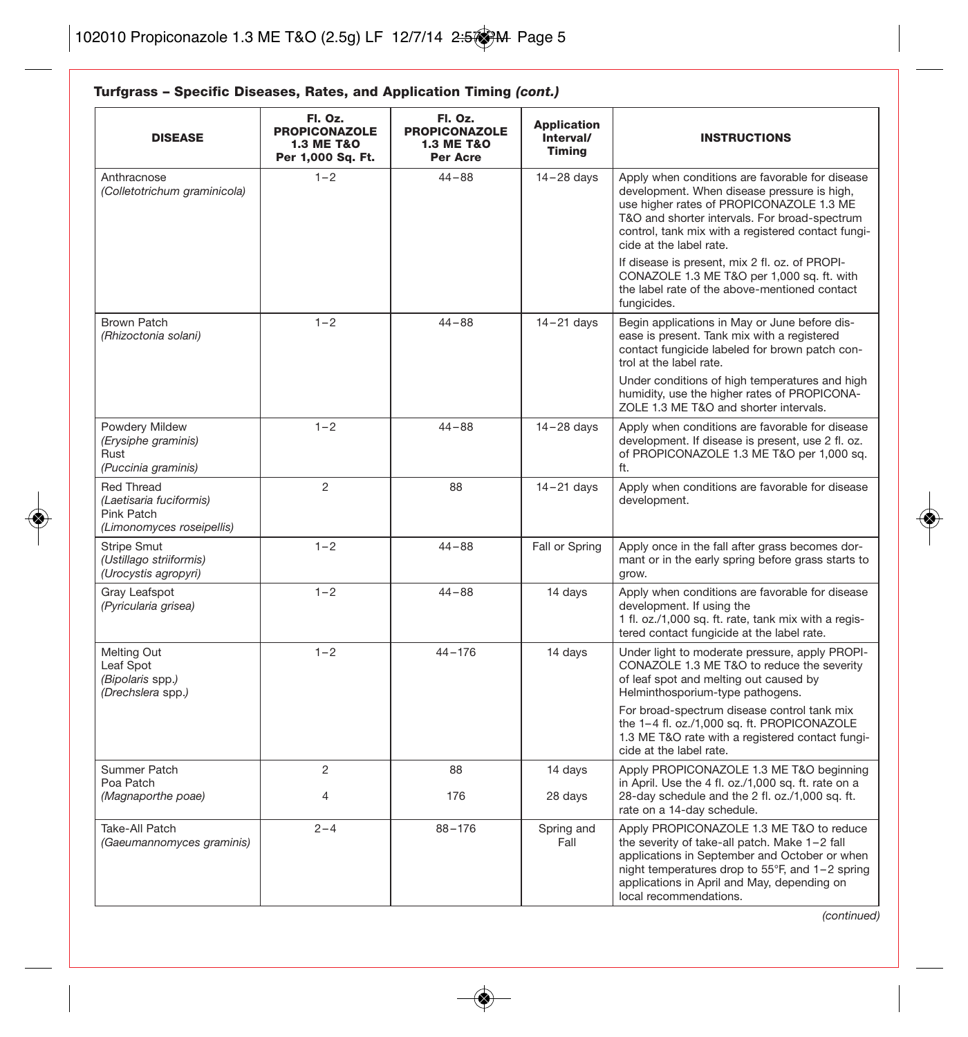**Turfgrass – Specific Diseases, Rates, and Application Timing** *(cont.)*

| <b>DISEASE</b>                                                                          | FI. Oz.<br><b>PROPICONAZOLE</b><br><b>1.3 ME T&amp;O</b><br>Per 1,000 Sq. Ft. | Fl. Oz.<br><b>PROPICONAZOLE</b><br><b>1.3 ME T&amp;O</b><br>Per Acre | <b>Application</b><br>Interval/<br><b>Timing</b> | <b>INSTRUCTIONS</b>                                                                                                                                                                                                                                                          |
|-----------------------------------------------------------------------------------------|-------------------------------------------------------------------------------|----------------------------------------------------------------------|--------------------------------------------------|------------------------------------------------------------------------------------------------------------------------------------------------------------------------------------------------------------------------------------------------------------------------------|
| Anthracnose<br>(Colletotrichum graminicola)                                             | $1 - 2$                                                                       | $44 - 88$                                                            | $14 - 28$ days                                   | Apply when conditions are favorable for disease<br>development. When disease pressure is high,<br>use higher rates of PROPICONAZOLE 1.3 ME<br>T&O and shorter intervals. For broad-spectrum<br>control, tank mix with a registered contact fungi-<br>cide at the label rate. |
|                                                                                         |                                                                               |                                                                      |                                                  | If disease is present, mix 2 fl. oz. of PROPI-<br>CONAZOLE 1.3 ME T&O per 1,000 sq. ft. with<br>the label rate of the above-mentioned contact<br>fungicides.                                                                                                                 |
| <b>Brown Patch</b><br>(Rhizoctonia solani)                                              | $1 - 2$                                                                       | $44 - 88$                                                            | $14 - 21$ days                                   | Begin applications in May or June before dis-<br>ease is present. Tank mix with a registered<br>contact fungicide labeled for brown patch con-<br>trol at the label rate.                                                                                                    |
|                                                                                         |                                                                               |                                                                      |                                                  | Under conditions of high temperatures and high<br>humidity, use the higher rates of PROPICONA-<br>ZOLE 1.3 ME T&O and shorter intervals.                                                                                                                                     |
| Powdery Mildew<br>(Erysiphe graminis)<br>Rust<br>(Puccinia graminis)                    | $1 - 2$                                                                       | $44 - 88$                                                            | $14 - 28$ days                                   | Apply when conditions are favorable for disease<br>development. If disease is present, use 2 fl. oz.<br>of PROPICONAZOLE 1.3 ME T&O per 1,000 sq.<br>ft.                                                                                                                     |
| <b>Red Thread</b><br>(Laetisaria fuciformis)<br>Pink Patch<br>(Limonomyces roseipellis) | $\overline{c}$                                                                | 88                                                                   | $14 - 21$ days                                   | Apply when conditions are favorable for disease<br>development.                                                                                                                                                                                                              |
| <b>Stripe Smut</b><br>(Ustillago striiformis)<br>(Urocystis agropyri)                   | $1 - 2$                                                                       | $44 - 88$                                                            | Fall or Spring                                   | Apply once in the fall after grass becomes dor-<br>mant or in the early spring before grass starts to<br>grow.                                                                                                                                                               |
| Gray Leafspot<br>(Pyricularia grisea)                                                   | $1 - 2$                                                                       | $44 - 88$                                                            | 14 days                                          | Apply when conditions are favorable for disease<br>development. If using the<br>1 fl. oz./1,000 sq. ft. rate, tank mix with a regis-<br>tered contact fungicide at the label rate.                                                                                           |
| Melting Out<br>Leaf Spot<br>(Bipolaris spp.)<br>(Drechslera spp.)                       | $1 - 2$                                                                       | $44 - 176$                                                           | 14 days                                          | Under light to moderate pressure, apply PROPI-<br>CONAZOLE 1.3 ME T&O to reduce the severity<br>of leaf spot and melting out caused by<br>Helminthosporium-type pathogens.                                                                                                   |
|                                                                                         |                                                                               |                                                                      |                                                  | For broad-spectrum disease control tank mix<br>the 1-4 fl. oz./1,000 sq. ft. PROPICONAZOLE<br>1.3 ME T&O rate with a registered contact fungi-<br>cide at the label rate.                                                                                                    |
| Summer Patch                                                                            | $\overline{c}$                                                                | 88                                                                   | 14 days                                          | Apply PROPICONAZOLE 1.3 ME T&O beginning                                                                                                                                                                                                                                     |
| Poa Patch<br>(Magnaporthe poae)                                                         | $\overline{4}$                                                                | 176                                                                  | 28 days                                          | in April. Use the 4 fl. oz./1,000 sq. ft. rate on a<br>28-day schedule and the 2 fl. oz./1,000 sq. ft.<br>rate on a 14-day schedule.                                                                                                                                         |
| Take-All Patch<br>(Gaeumannomyces graminis)                                             | $2 - 4$                                                                       | $88 - 176$                                                           | Spring and<br>Fall                               | Apply PROPICONAZOLE 1.3 ME T&O to reduce<br>the severity of take-all patch. Make 1-2 fall<br>applications in September and October or when<br>night temperatures drop to 55°F, and 1-2 spring<br>applications in April and May, depending on<br>local recommendations.       |

*(continued)*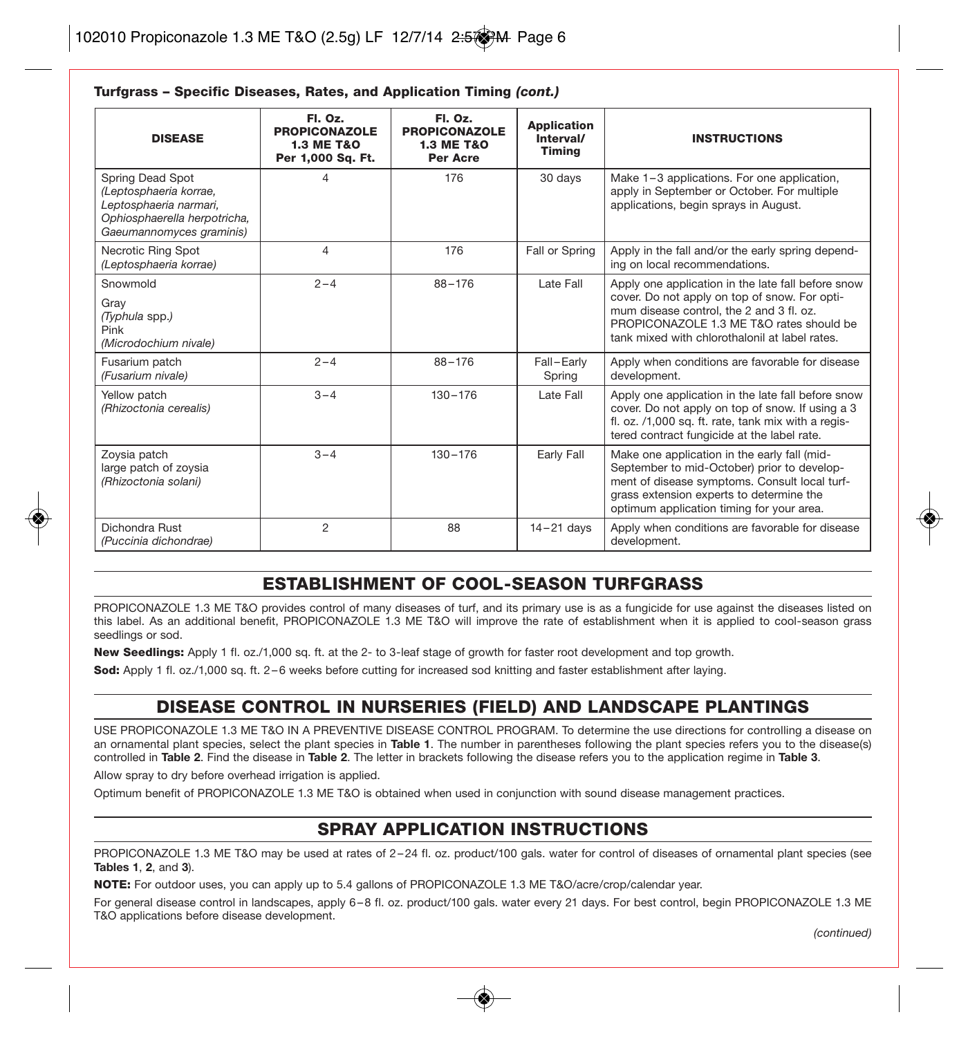| <b>DISEASE</b>                                                                                                                   | Fl. Oz.<br><b>PROPICONAZOLE</b><br><b>1.3 ME T&amp;O</b><br>Per 1,000 Sq. Ft. | FI. Oz.<br><b>PROPICONAZOLE</b><br><b>1.3 ME T&amp;O</b><br>Per Acre | <b>Application</b><br>Interval/<br><b>Timina</b> | <b>INSTRUCTIONS</b>                                                                                                                                                                                                                           |
|----------------------------------------------------------------------------------------------------------------------------------|-------------------------------------------------------------------------------|----------------------------------------------------------------------|--------------------------------------------------|-----------------------------------------------------------------------------------------------------------------------------------------------------------------------------------------------------------------------------------------------|
| Spring Dead Spot<br>(Leptosphaeria korrae,<br>Leptosphaeria narmari,<br>Ophiosphaerella herpotricha,<br>Gaeumannomyces graminis) | 4                                                                             | 176                                                                  | 30 days                                          | Make 1-3 applications. For one application,<br>apply in September or October. For multiple<br>applications, begin sprays in August.                                                                                                           |
| Necrotic Ring Spot<br>(Leptosphaeria korrae)                                                                                     | 4                                                                             | 176                                                                  | Fall or Spring                                   | Apply in the fall and/or the early spring depend-<br>ing on local recommendations.                                                                                                                                                            |
| Snowmold<br>Gray<br>(Typhula spp.)<br>Pink<br>(Microdochium nivale)                                                              | $2 - 4$                                                                       | $88 - 176$                                                           | Late Fall                                        | Apply one application in the late fall before snow<br>cover. Do not apply on top of snow. For opti-<br>mum disease control, the 2 and 3 fl, oz.<br>PROPICONAZOLE 1.3 ME T&O rates should be<br>tank mixed with chlorothalonil at label rates. |
| Fusarium patch<br>(Fusarium nivale)                                                                                              | $2 - 4$                                                                       | $88 - 176$                                                           | Fall-Early<br>Spring                             | Apply when conditions are favorable for disease<br>development.                                                                                                                                                                               |
| Yellow patch<br>(Rhizoctonia cerealis)                                                                                           | $3 - 4$                                                                       | $130 - 176$                                                          | Late Fall                                        | Apply one application in the late fall before snow<br>cover. Do not apply on top of snow. If using a 3<br>fl. oz. /1,000 sq. ft. rate, tank mix with a regis-<br>tered contract fungicide at the label rate.                                  |
| Zoysia patch<br>large patch of zoysia<br>(Rhizoctonia solani)                                                                    | $3 - 4$                                                                       | $130 - 176$                                                          | Early Fall                                       | Make one application in the early fall (mid-<br>September to mid-October) prior to develop-<br>ment of disease symptoms. Consult local turf-<br>grass extension experts to determine the<br>optimum application timing for your area.         |
| Dichondra Rust<br>(Puccinia dichondrae)                                                                                          | $\mathbf{2}$                                                                  | 88                                                                   | $14 - 21$ days                                   | Apply when conditions are favorable for disease<br>development.                                                                                                                                                                               |

#### **Turfgrass – Specific Diseases, Rates, and Application Timing** *(cont.)*

#### **ESTABLISHMENT OF COOL-SEASON TURFGRASS**

PROPICONAZOLE 1.3 ME T&O provides control of many diseases of turf, and its primary use is as a fungicide for use against the diseases listed on this label. As an additional benefit, PROPICONAZOLE 1.3 ME T&O will improve the rate of establishment when it is applied to cool-season grass seedlings or sod.

**New Seedlings:** Apply 1 fl. oz./1,000 sq. ft. at the 2- to 3-leaf stage of growth for faster root development and top growth.

**Sod:** Apply 1 fl. oz./1,000 sq. ft. 2 – 6 weeks before cutting for increased sod knitting and faster establishment after laying.

#### **DISEASE CONTROL IN NURSERIES (FIELD) AND LANDSCAPE PLANTINGS**

USE PROPICONAZOLE 1.3 ME T&O IN A PREVENTIVE DISEASE CONTROL PROGRAM. To determine the use directions for controlling a disease on an ornamental plant species, select the plant species in **Table 1**. The number in parentheses following the plant species refers you to the disease(s) controlled in **Table 2**. Find the disease in **Table 2**. The letter in brackets following the disease refers you to the application regime in **Table 3**.

Allow spray to dry before overhead irrigation is applied.

Optimum benefit of PROPICONAZOLE 1.3 ME T&O is obtained when used in conjunction with sound disease management practices.

#### **SPRAY APPLICATION INSTRUCTIONS**

PROPICONAZOLE 1.3 ME T&O may be used at rates of 2-24 fl. oz. product/100 gals. water for control of diseases of ornamental plant species (see **Tables 1**, **2**, and **3**).

**NOTE:** For outdoor uses, you can apply up to 5.4 gallons of PROPICONAZOLE 1.3 ME T&O/acre/crop/calendar year.

For general disease control in landscapes, apply 6 – 8 fl. oz. product/100 gals. water every 21 days. For best control, begin PROPICONAZOLE 1.3 ME T&O applications before disease development.

*(continued)*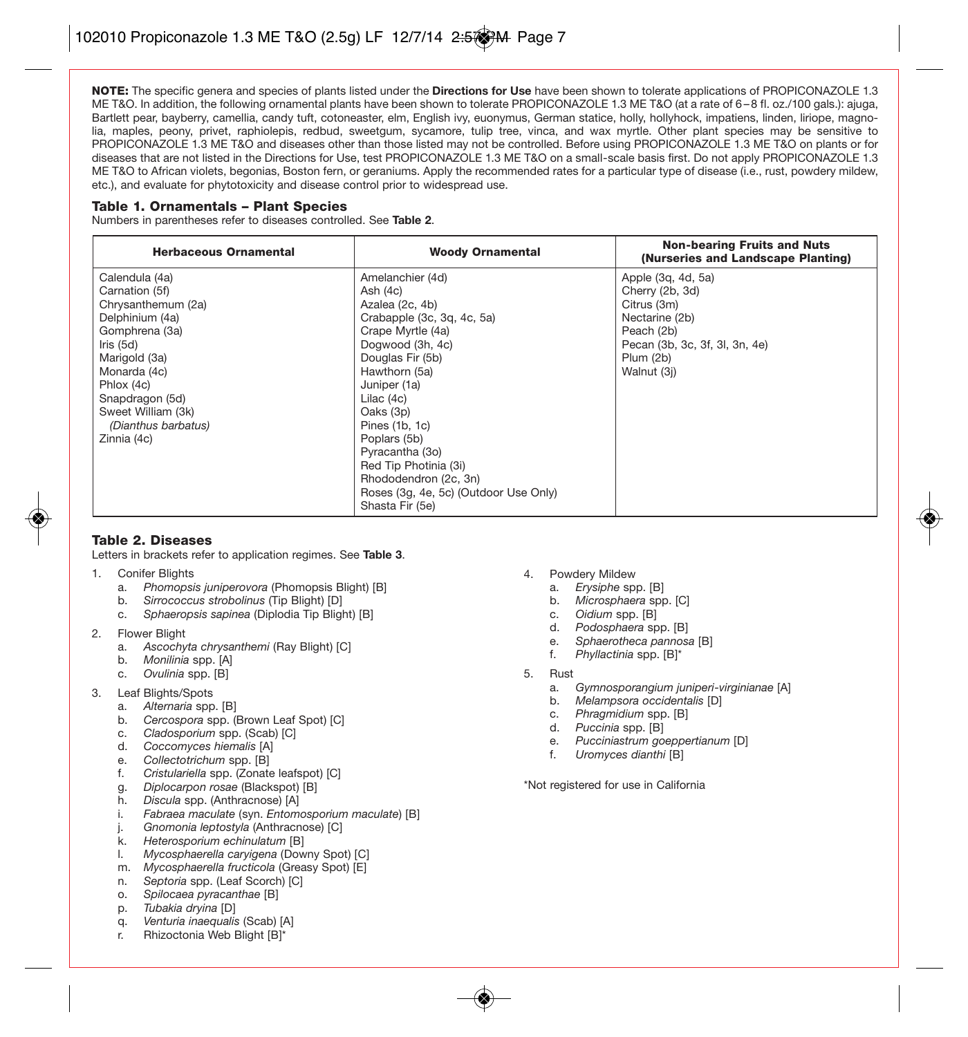**NOTE:** The specific genera and species of plants listed under the **Directions for Use** have been shown to tolerate applications of PROPICONAZOLE 1.3 ME T&O. In addition, the following ornamental plants have been shown to tolerate PROPICONAZOLE 1.3 ME T&O (at a rate of 6 – 8 fl. oz./100 gals.): ajuga, Bartlett pear, bayberry, camellia, candy tuft, cotoneaster, elm, English ivy, euonymus, German statice, holly, hollyhock, impatiens, linden, liriope, magnolia, maples, peony, privet, raphiolepis, redbud, sweetgum, sycamore, tulip tree, vinca, and wax myrtle. Other plant species may be sensitive to PROPICONAZOLE 1.3 ME T&O and diseases other than those listed may not be controlled. Before using PROPICONAZOLE 1.3 ME T&O on plants or for diseases that are not listed in the Directions for Use, test PROPICONAZOLE 1.3 ME T&O on a small-scale basis first. Do not apply PROPICONAZOLE 1.3 ME T&O to African violets, begonias, Boston fern, or geraniums. Apply the recommended rates for a particular type of disease (i.e., rust, powdery mildew, etc.), and evaluate for phytotoxicity and disease control prior to widespread use.

#### **Table 1. Ornamentals – Plant Species**

Numbers in parentheses refer to diseases controlled. See **Table 2**.

| <b>Herbaceous Ornamental</b>                                                                                                                                                                                                             | <b>Woody Ornamental</b>                                                                                                                                                                                                                                                                                                                                                     | <b>Non-bearing Fruits and Nuts</b><br>(Nurseries and Landscape Planting)                                                                           |
|------------------------------------------------------------------------------------------------------------------------------------------------------------------------------------------------------------------------------------------|-----------------------------------------------------------------------------------------------------------------------------------------------------------------------------------------------------------------------------------------------------------------------------------------------------------------------------------------------------------------------------|----------------------------------------------------------------------------------------------------------------------------------------------------|
| Calendula (4a)<br>Carnation (5f)<br>Chrysanthemum (2a)<br>Delphinium (4a)<br>Gomphrena (3a)<br>Iris $(5d)$<br>Marigold (3a)<br>Monarda (4c)<br>Phlox (4c)<br>Snapdragon (5d)<br>Sweet William (3k)<br>(Dianthus barbatus)<br>Zinnia (4c) | Amelanchier (4d)<br>Ash (4c)<br>Azalea (2c, 4b)<br>Crabapple (3c, 3q, 4c, 5a)<br>Crape Myrtle (4a)<br>Dogwood (3h, 4c)<br>Douglas Fir (5b)<br>Hawthorn (5a)<br>Juniper (1a)<br>Lilac $(4c)$<br>Oaks (3p)<br>Pines (1b, 1c)<br>Poplars (5b)<br>Pyracantha (3o)<br>Red Tip Photinia (3i)<br>Rhododendron (2c, 3n)<br>Roses (3q, 4e, 5c) (Outdoor Use Only)<br>Shasta Fir (5e) | Apple (3g, 4d, 5a)<br>Cherry (2b, 3d)<br>Citrus (3m)<br>Nectarine (2b)<br>Peach (2b)<br>Pecan (3b, 3c, 3f, 3l, 3n, 4e)<br>Plum (2b)<br>Walnut (3i) |

#### **Table 2. Diseases**

Letters in brackets refer to application regimes. See **Table 3**.

- 1. Conifer Blights
	- a. *Phomopsis juniperovora* (Phomopsis Blight) [B]
	- b. *Sirrococcus strobolinus* (Tip Blight) [D]
	- c. *Sphaeropsis sapinea* (Diplodia Tip Blight) [B]
- 2. Flower Blight
	- a. *Ascochyta chrysanthemi* (Ray Blight) [C]
	- b. *Monilinia* spp. [A]
	- c. *Ovulinia* spp. [B]
- 3. Leaf Blights/Spots
	- a. *Alternaria* spp. [B]
	- b. *Cercospora* spp. (Brown Leaf Spot) [C]
	- c. *Cladosporium* spp. (Scab) [C]
	- d. *Coccomyces hiemalis* [A]
	- e. *Collectotrichum* spp. [B]
	- f. *Cristulariella* spp. (Zonate leafspot) [C]
	- g. *Diplocarpon rosae* (Blackspot) [B]
	- h. *Discula* spp. (Anthracnose) [A]
	- i. *Fabraea maculate* (syn. *Entomosporium maculate*) [B]
	- j. *Gnomonia leptostyla* (Anthracnose) [C]
	- k. *Heterosporium echinulatum* [B]
	- l. *Mycosphaerella caryigena* (Downy Spot) [C]
	- m. *Mycosphaerella fructicola* (Greasy Spot) [E]
	- n. *Septoria* spp. (Leaf Scorch) [C]
	- o. *Spilocaea pyracanthae* [B]
	- p. *Tubakia dryina* [D]
	- q. *Venturia inaequalis* (Scab) [A]
	- r. Rhizoctonia Web Blight [B]\*
- 4. Powdery Mildew
	- a. *Erysiphe* spp. [B]
	- b. *Microsphaera* spp. [C]
	- c. *Oidium* spp. [B]
	- d. *Podosphaera* spp. [B]
	- e. *Sphaerotheca pannosa* [B]
	- f. *Phyllactinia* spp. [B]\*
- 5. Rust
	- a. *Gymnosporangium juniperi-virginianae* [A]
	- b. *Melampsora occidentalis* [D]
	- c. *Phragmidium* spp. [B]
	- d. *Puccinia* spp. [B]
	- e. *Pucciniastrum goeppertianum* [D]
	- Uromyces dianthi [B]

\*Not registered for use in California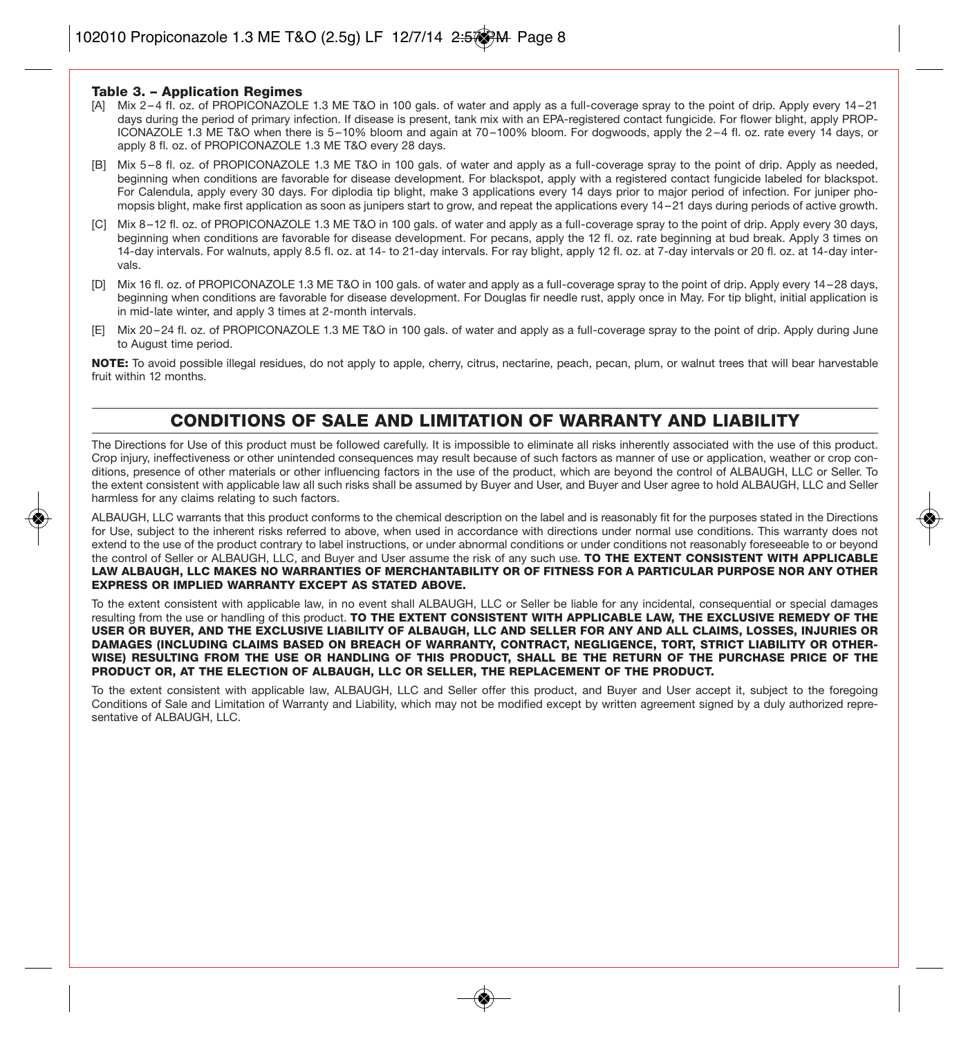#### **Table 3. – Application Regimes**

- [A] Mix 2 4 fI. oz. of PROPICONAZOLE 1.3 ME T&O in 100 gals. of water and apply as a full-coverage spray to the point of drip. Apply every 14 21 days during the period of primary infection. If disease is present, tank mix with an EPA-registered contact fungicide. For flower blight, apply PROP-ICONAZOLE 1.3 ME T&O when there is 5 –10% bloom and again at 70 –100% bloom. For dogwoods, apply the 2 – 4 fl. oz. rate every 14 days, or apply 8 fl. oz. of PROPICONAZOLE 1.3 ME T&O every 28 days.
- [B] Mix 5 8 fl. oz. of PROPICONAZOLE 1.3 ME T&O in 100 gals. of water and apply as a full-coverage spray to the point of drip. Apply as needed, beginning when conditions are favorable for disease development. For blackspot, apply with a registered contact fungicide labeled for blackspot. For Calendula, apply every 30 days. For diplodia tip blight, make 3 applications every 14 days prior to major period of infection. For juniper phomopsis blight, make first application as soon as junipers start to grow, and repeat the applications every 14 – 21 days during periods of active growth.
- [C] Mix 8 –12 fl. oz. of PROPICONAZOLE 1.3 ME T&O in 100 gals. of water and apply as a full-coverage spray to the point of drip. Apply every 30 days, beginning when conditions are favorable for disease development. For pecans, apply the 12 fl. oz. rate beginning at bud break. Apply 3 times on 14-day intervals. For walnuts, apply 8.5 fl. oz. at 14- to 21-day intervals. For ray blight, apply 12 fl. oz. at 7-day intervals or 20 fl. oz. at 14-day intervals.
- [D] Mix 16 fl. oz. of PROPICONAZOLE 1.3 ME T&O in 100 gals. of water and apply as a full-coverage spray to the point of drip. Apply every 14 28 days, beginning when conditions are favorable for disease development. For Douglas fir needle rust, apply once in May. For tip blight, initial application is in mid-late winter, and apply 3 times at 2-month intervals.
- [E] Mix 20 24 fl. oz. of PROPICONAZOLE 1.3 ME T&O in 100 gals. of water and apply as a full-coverage spray to the point of drip. Apply during June to August time period.

**NOTE:** To avoid possible illegal residues, do not apply to apple, cherry, citrus, nectarine, peach, pecan, plum, or walnut trees that will bear harvestable fruit within 12 months.

#### **CONDITIONS OF SALE AND LIMITATION OF WARRANTY AND LIABILITY**

The Directions for Use of this product must be followed carefully. It is impossible to eliminate all risks inherently associated with the use of this product. Crop injury, ineffectiveness or other unintended consequences may result because of such factors as manner of use or application, weather or crop conditions, presence of other materials or other influencing factors in the use of the product, which are beyond the control of ALBAUGH, LLC or Seller. To the extent consistent with applicable law all such risks shall be assumed by Buyer and User, and Buyer and User agree to hold ALBAUGH, LLC and Seller harmless for any claims relating to such factors.

ALBAUGH, LLC warrants that this product conforms to the chemical description on the label and is reasonably fit for the purposes stated in the Directions for Use, subject to the inherent risks referred to above, when used in accordance with directions under normal use conditions. This warranty does not extend to the use of the product contrary to label instructions, or under abnormal conditions or under conditions not reasonably foreseeable to or beyond the control of Seller or ALBAUGH, LLC, and Buyer and User assume the risk of any such use. **TO THE EXTENT CONSISTENT WITH APPLICABLE LAW ALBAUGH, LLC MAKES NO WARRANTIES OF MERCHANTABILITY OR OF FITNESS FOR A PARTICULAR PURPOSE NOR ANY OTHER EXPRESS OR IMPLIED WARRANTY EXCEPT AS STATED ABOVE.**

To the extent consistent with applicable law, in no event shall ALBAUGH, LLC or Seller be liable for any incidental, consequential or special damages resulting from the use or handling of this product. **TO THE EXTENT CONSISTENT WITH APPLICABLE LAW, THE EXCLUSIVE REMEDY OF THE USER OR BUYER, AND THE EXCLUSIVE LIABILITY OF ALBAUGH, LLC AND SELLER FOR ANY AND ALL CLAIMS, LOSSES, INJURIES OR DAMAGES (INCLUDING CLAIMS BASED ON BREACH OF WARRANTY, CONTRACT, NEGLIGENCE, TORT, STRICT LIABILITY OR OTHER-WISE) RESULTING FROM THE USE OR HANDLING OF THIS PRODUCT, SHALL BE THE RETURN OF THE PURCHASE PRICE OF THE PRODUCT OR, AT THE ELECTION OF ALBAUGH, LLC OR SELLER, THE REPLACEMENT OF THE PRODUCT.**

To the extent consistent with applicable law, ALBAUGH, LLC and Seller offer this product, and Buyer and User accept it, subject to the foregoing Conditions of Sale and Limitation of Warranty and Liability, which may not be modified except by written agreement signed by a duly authorized representative of ALBAUGH, LLC.